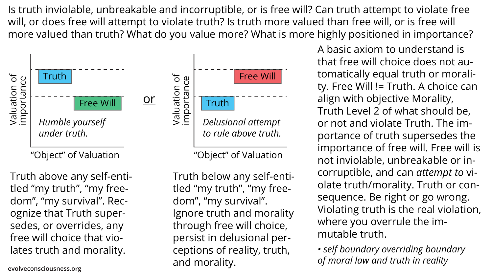Is truth inviolable, unbreakable and incorruptible, or is free will? Can truth attempt to violate free will, or does free will attempt to violate truth? Is truth more valued than free will, or is free will more valued than truth? What do you value more? What is more highly positioned in importance?

> A basic axiom to understand is that free will choice does not automatically equal truth or morality. Free Will != Truth. A choice can align with objective Morality, Truth Level 2 of what should be, or not and violate Truth. The importance of truth supersedes the importance of free will. Free will is not inviolable, unbreakable or incorruptible, and can *attempt to* violate truth/morality. Truth or consequence. Be right or go wrong. Violating truth is the real violation, where you overrule the immutable truth.

"Object" of Valuation

*Delusional attempt to rule above truth.*

Truth above any self-entitled "my truth", "my freedom", "my survival". Recognize that Truth supersedes, or overrides, any free will choice that violates truth and morality.



Truth below any self-entitled "my truth", "my freedom", "my survival". Ignore truth and morality through free will choice, persist in delusional perceptions of reality, truth, and morality.

"Object" of Valuation

*• self boundary overriding boundary of moral law and truth in reality*









**evolveconsciousness.org**